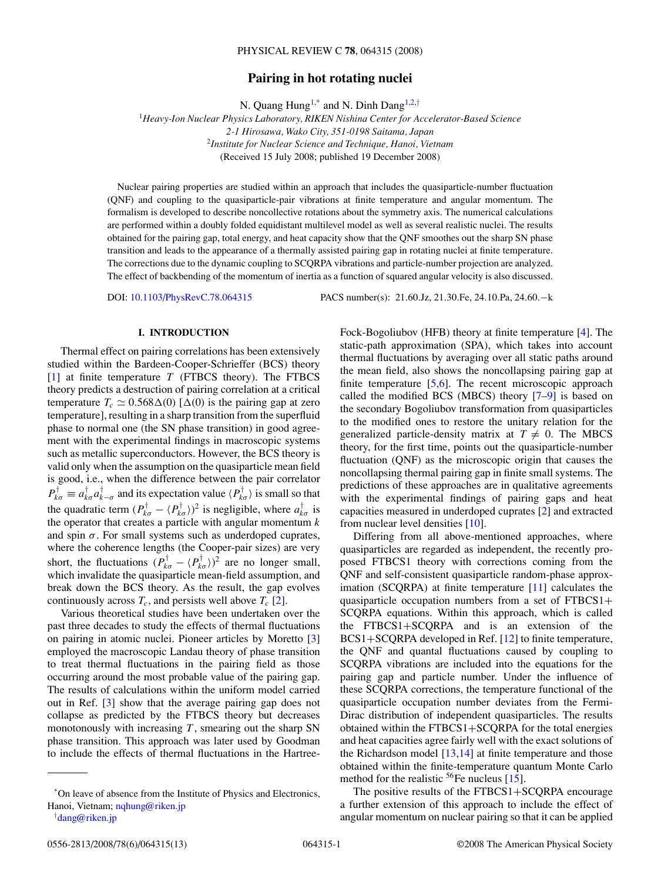# **Pairing in hot rotating nuclei**

N. Quang Hung<sup>1,\*</sup> and N. Dinh Dang<sup>1,2,†</sup>

<sup>1</sup>*Heavy-Ion Nuclear Physics Laboratory, RIKEN Nishina Center for Accelerator-Based Science 2-1 Hirosawa, Wako City, 351-0198 Saitama, Japan* <sup>2</sup>*Institute for Nuclear Science and Technique, Hanoi, Vietnam* (Received 15 July 2008; published 19 December 2008)

Nuclear pairing properties are studied within an approach that includes the quasiparticle-number fluctuation (QNF) and coupling to the quasiparticle-pair vibrations at finite temperature and angular momentum. The formalism is developed to describe noncollective rotations about the symmetry axis. The numerical calculations are performed within a doubly folded equidistant multilevel model as well as several realistic nuclei. The results obtained for the pairing gap, total energy, and heat capacity show that the QNF smoothes out the sharp SN phase transition and leads to the appearance of a thermally assisted pairing gap in rotating nuclei at finite temperature. The corrections due to the dynamic coupling to SCQRPA vibrations and particle-number projection are analyzed. The effect of backbending of the momentum of inertia as a function of squared angular velocity is also discussed.

DOI: [10.1103/PhysRevC.78.064315](http://dx.doi.org/10.1103/PhysRevC.78.064315) PACS number(s): 21*.*60*.*Jz, 21*.*30*.*Fe, 24*.*10*.*Pa, 24*.*60*.*−k

### **I. INTRODUCTION**

Thermal effect on pairing correlations has been extensively studied within the Bardeen-Cooper-Schrieffer (BCS) theory [\[1\]](#page-12-0) at finite temperature *T* (FTBCS theory). The FTBCS theory predicts a destruction of pairing correlation at a critical temperature  $T_c \simeq 0.568\Delta(0)$  [ $\Delta(0)$  is the pairing gap at zero temperature], resulting in a sharp transition from the superfluid phase to normal one (the SN phase transition) in good agreement with the experimental findings in macroscopic systems such as metallic superconductors. However, the BCS theory is valid only when the assumption on the quasiparticle mean field is good, i.e., when the difference between the pair correlator  $P_{k\sigma}^{\dagger} \equiv a_{k\sigma}^{\dagger} a_{k-\sigma}^{\dagger}$  and its expectation value  $\langle P_{k\sigma}^{\dagger} \rangle$  is small so that the quadratic term  $(P_{k\sigma}^{\dagger} - \langle P_{k\sigma}^{\dagger} \rangle)^2$  is negligible, where  $a_{k\sigma}^{\dagger}$  is the operator that creates a particle with angular momentum *k* and spin  $\sigma$ . For small systems such as underdoped cuprates, where the coherence lengths (the Cooper-pair sizes) are very short, the fluctuations  $(P_{k\sigma}^{\dagger} - \langle P_{k\sigma}^{\dagger} \rangle)^2$  are no longer small, which invalidate the quasiparticle mean-field assumption, and break down the BCS theory. As the result, the gap evolves continuously across  $T_c$ , and persists well above  $T_c$  [\[2\]](#page-12-0).

Various theoretical studies have been undertaken over the past three decades to study the effects of thermal fluctuations on pairing in atomic nuclei. Pioneer articles by Moretto [\[3\]](#page-12-0) employed the macroscopic Landau theory of phase transition to treat thermal fluctuations in the pairing field as those occurring around the most probable value of the pairing gap. The results of calculations within the uniform model carried out in Ref. [\[3\]](#page-12-0) show that the average pairing gap does not collapse as predicted by the FTBCS theory but decreases monotonously with increasing *T* , smearing out the sharp SN phase transition. This approach was later used by Goodman to include the effects of thermal fluctuations in the Hartreestatic-path approximation (SPA), which takes into account thermal fluctuations by averaging over all static paths around the mean field, also shows the noncollapsing pairing gap at finite temperature  $[5,6]$ . The recent microscopic approach called the modified BCS (MBCS) theory [\[7–9\]](#page-12-0) is based on the secondary Bogoliubov transformation from quasiparticles to the modified ones to restore the unitary relation for the generalized particle-density matrix at  $T \neq 0$ . The MBCS theory, for the first time, points out the quasiparticle-number fluctuation (QNF) as the microscopic origin that causes the noncollapsing thermal pairing gap in finite small systems. The predictions of these approaches are in qualitative agreements with the experimental findings of pairing gaps and heat capacities measured in underdoped cuprates [\[2\]](#page-12-0) and extracted from nuclear level densities [\[10\]](#page-12-0).

Fock-Bogoliubov (HFB) theory at finite temperature [\[4\]](#page-12-0). The

Differing from all above-mentioned approaches, where quasiparticles are regarded as independent, the recently proposed FTBCS1 theory with corrections coming from the QNF and self-consistent quasiparticle random-phase approximation (SCQRPA) at finite temperature [\[11\]](#page-12-0) calculates the quasiparticle occupation numbers from a set of FTBCS1+ SCQRPA equations. Within this approach, which is called the FTBCS1+SCQRPA and is an extension of the BCS1+SCQRPA developed in Ref. [\[12\]](#page-12-0) to finite temperature, the QNF and quantal fluctuations caused by coupling to SCQRPA vibrations are included into the equations for the pairing gap and particle number. Under the influence of these SCQRPA corrections, the temperature functional of the quasiparticle occupation number deviates from the Fermi-Dirac distribution of independent quasiparticles. The results obtained within the FTBCS1+SCQRPA for the total energies and heat capacities agree fairly well with the exact solutions of the Richardson model [\[13,14\]](#page-12-0) at finite temperature and those obtained within the finite-temperature quantum Monte Carlo method for the realistic  ${}^{56}Fe$  nucleus [\[15\]](#page-12-0).

The positive results of the FTBCS1+SCQRPA encourage a further extension of this approach to include the effect of angular momentum on nuclear pairing so that it can be applied

<sup>\*</sup>On leave of absence from the Institute of Physics and Electronics, Hanoi, Vietnam; [nqhung@riken.jp](mailto:nqhung@riken.jp)

<sup>†</sup> [dang@riken.jp](mailto:dang@riken.jp)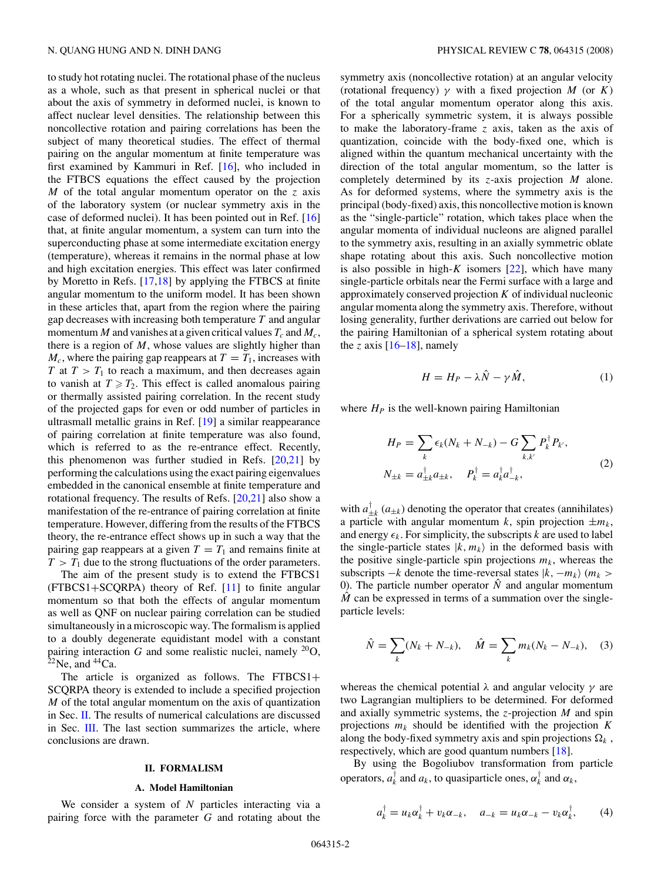<span id="page-1-0"></span>to study hot rotating nuclei. The rotational phase of the nucleus as a whole, such as that present in spherical nuclei or that about the axis of symmetry in deformed nuclei, is known to affect nuclear level densities. The relationship between this noncollective rotation and pairing correlations has been the subject of many theoretical studies. The effect of thermal pairing on the angular momentum at finite temperature was first examined by Kammuri in Ref. [\[16\]](#page-12-0), who included in the FTBCS equations the effect caused by the projection *M* of the total angular momentum operator on the *z* axis of the laboratory system (or nuclear symmetry axis in the case of deformed nuclei). It has been pointed out in Ref. [\[16\]](#page-12-0) that, at finite angular momentum, a system can turn into the superconducting phase at some intermediate excitation energy (temperature), whereas it remains in the normal phase at low and high excitation energies. This effect was later confirmed by Moretto in Refs. [\[17,18\]](#page-12-0) by applying the FTBCS at finite angular momentum to the uniform model. It has been shown in these articles that, apart from the region where the pairing gap decreases with increasing both temperature *T* and angular momentum *M* and vanishes at a given critical values  $T_c$  and  $M_c$ , there is a region of *M*, whose values are slightly higher than  $M_c$ , where the pairing gap reappears at  $T = T_1$ , increases with *T* at  $T > T_1$  to reach a maximum, and then decreases again to vanish at  $T \geq T_2$ . This effect is called anomalous pairing or thermally assisted pairing correlation. In the recent study of the projected gaps for even or odd number of particles in ultrasmall metallic grains in Ref. [\[19\]](#page-12-0) a similar reappearance of pairing correlation at finite temperature was also found, which is referred to as the re-entrance effect. Recently, this phenomenon was further studied in Refs.  $[20,21]$  by performing the calculations using the exact pairing eigenvalues embedded in the canonical ensemble at finite temperature and rotational frequency. The results of Refs. [\[20,21\]](#page-12-0) also show a manifestation of the re-entrance of pairing correlation at finite temperature. However, differing from the results of the FTBCS theory, the re-entrance effect shows up in such a way that the pairing gap reappears at a given  $T = T_1$  and remains finite at  $T > T_1$  due to the strong fluctuations of the order parameters.

The aim of the present study is to extend the FTBCS1 (FTBCS1+SCQRPA) theory of Ref. [\[11\]](#page-12-0) to finite angular momentum so that both the effects of angular momentum as well as QNF on nuclear pairing correlation can be studied simultaneously in a microscopic way. The formalism is applied to a doubly degenerate equidistant model with a constant pairing interaction *G* and some realistic nuclei, namely  $^{20}O$ ,  $2^{2}$ Ne, and  $4^{4}$ Ca.

The article is organized as follows. The FTBCS1+ SCQRPA theory is extended to include a specified projection *M* of the total angular momentum on the axis of quantization in Sec. II. The results of numerical calculations are discussed in Sec. [III.](#page-4-0) The last section summarizes the article, where conclusions are drawn.

#### **II. FORMALISM**

#### **A. Model Hamiltonian**

We consider a system of *N* particles interacting via a pairing force with the parameter *G* and rotating about the symmetry axis (noncollective rotation) at an angular velocity (rotational frequency)  $\gamma$  with a fixed projection *M* (or *K*) of the total angular momentum operator along this axis. For a spherically symmetric system, it is always possible to make the laboratory-frame *z* axis, taken as the axis of quantization, coincide with the body-fixed one, which is aligned within the quantum mechanical uncertainty with the direction of the total angular momentum, so the latter is completely determined by its *z*-axis projection *M* alone. As for deformed systems, where the symmetry axis is the principal (body-fixed) axis, this noncollective motion is known as the "single-particle" rotation, which takes place when the angular momenta of individual nucleons are aligned parallel to the symmetry axis, resulting in an axially symmetric oblate shape rotating about this axis. Such noncollective motion is also possible in high- $K$  isomers  $[22]$ , which have many single-particle orbitals near the Fermi surface with a large and approximately conserved projection *K* of individual nucleonic angular momenta along the symmetry axis. Therefore, without losing generality, further derivations are carried out below for the pairing Hamiltonian of a spherical system rotating about the *z* axis  $[16-18]$ , namely

$$
H = H_P - \lambda \hat{N} - \gamma \hat{M}, \qquad (1)
$$

where  $H_P$  is the well-known pairing Hamiltonian

$$
H_P = \sum_{k} \epsilon_k (N_k + N_{-k}) - G \sum_{k,k'} P_k^{\dagger} P_{k'},
$$
  

$$
N_{\pm k} = a_{\pm k}^{\dagger} a_{\pm k}, \quad P_k^{\dagger} = a_k^{\dagger} a_{-k}^{\dagger},
$$
 (2)

with  $a_{\pm k}^{\dagger}$  ( $a_{\pm k}$ ) denoting the operator that creates (annihilates) a particle with angular momentum *k*, spin projection  $\pm m_k$ , and energy  $\epsilon_k$ . For simplicity, the subscripts *k* are used to label the single-particle states  $|k, m_k\rangle$  in the deformed basis with the positive single-particle spin projections  $m_k$ , whereas the subscripts  $-k$  denote the time-reversal states  $|k, -m_k\rangle$  ( $m_k >$ 0). The particle number operator  $\hat{N}$  and angular momentum  $\hat{M}$  can be expressed in terms of a summation over the singleparticle levels:

$$
\hat{N} = \sum_{k} (N_k + N_{-k}), \quad \hat{M} = \sum_{k} m_k (N_k - N_{-k}), \quad (3)
$$

whereas the chemical potential *λ* and angular velocity *γ* are two Lagrangian multipliers to be determined. For deformed and axially symmetric systems, the *z*-projection *M* and spin projections  $m_k$  should be identified with the projection  $K$ along the body-fixed symmetry axis and spin projections  $\Omega_k$ , respectively, which are good quantum numbers [\[18\]](#page-12-0).

By using the Bogoliubov transformation from particle operators,  $a_k^{\dagger}$  and  $a_k$ , to quasiparticle ones,  $\alpha_k^{\dagger}$  and  $\alpha_k$ ,

$$
a_k^{\dagger} = u_k \alpha_k^{\dagger} + v_k \alpha_{-k}, \quad a_{-k} = u_k \alpha_{-k} - v_k \alpha_k^{\dagger}, \tag{4}
$$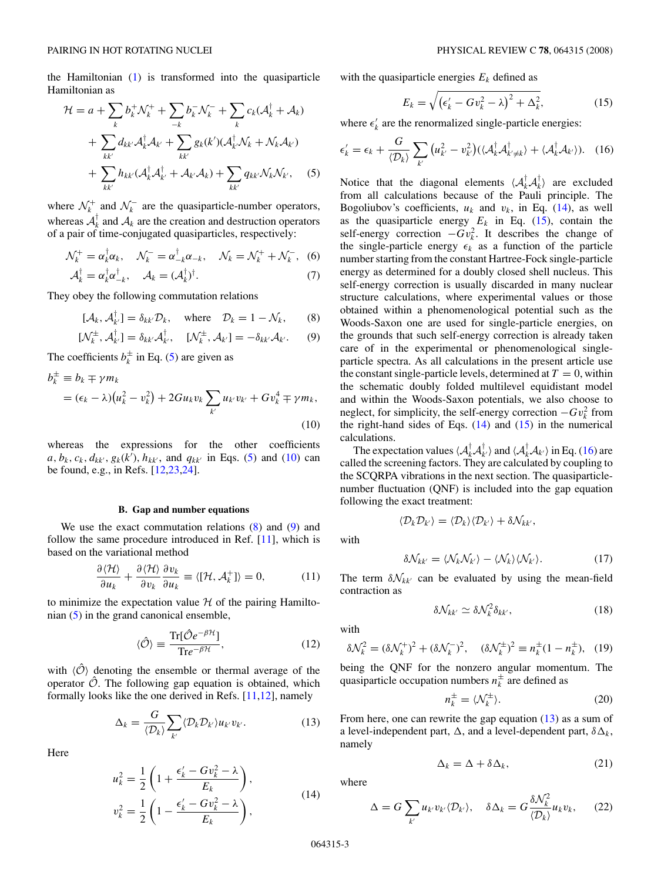<span id="page-2-0"></span>the Hamiltonian [\(1\)](#page-1-0) is transformed into the quasiparticle Hamiltonian as

$$
\mathcal{H} = a + \sum_{k} b_{k}^{+} \mathcal{N}_{k}^{+} + \sum_{-k} b_{k}^{-} \mathcal{N}_{k}^{-} + \sum_{k} c_{k} (\mathcal{A}_{k}^{\dagger} + \mathcal{A}_{k})
$$

$$
+ \sum_{kk'} d_{kk'} \mathcal{A}_{k}^{\dagger} \mathcal{A}_{k'} + \sum_{kk'} g_{k}(k') (\mathcal{A}_{k'}^{\dagger} \mathcal{N}_{k} + \mathcal{N}_{k} \mathcal{A}_{k'})
$$

$$
+ \sum_{kk'} h_{kk'} (\mathcal{A}_{k}^{\dagger} \mathcal{A}_{k'}^{\dagger} + \mathcal{A}_{k'} \mathcal{A}_{k}) + \sum_{kk'} q_{kk'} \mathcal{N}_{k} \mathcal{N}_{k'}, \quad (5)
$$

where  $\mathcal{N}_{k}^{+}$  and  $\mathcal{N}_{k}^{-}$  are the quasiparticle-number operators, whereas  $A_k^{\dagger}$  and  $A_k$  are the creation and destruction operators of a pair of time-conjugated quasiparticles, respectively:

$$
\mathcal{N}_k^+ = \alpha_k^{\dagger} \alpha_k, \quad \mathcal{N}_k^- = \alpha_{-k}^{\dagger} \alpha_{-k}, \quad \mathcal{N}_k = \mathcal{N}_k^+ + \mathcal{N}_k^-,\tag{6}
$$

$$
\mathcal{A}_k^{\dagger} = \alpha_k^{\dagger} \alpha_{-k}^{\dagger}, \quad \mathcal{A}_k = (\mathcal{A}_k^{\dagger})^{\dagger}.
$$
 (7)

They obey the following commutation relations

$$
[\mathcal{A}_k, \mathcal{A}_{k'}^\dagger] = \delta_{kk'} \mathcal{D}_k, \quad \text{where} \quad \mathcal{D}_k = 1 - \mathcal{N}_k, \qquad (8)
$$

$$
[\mathcal{N}_k^{\pm}, \mathcal{A}_{k'}^{\dagger}] = \delta_{kk'} \mathcal{A}_{k'}^{\dagger}, \quad [\mathcal{N}_k^{\pm}, \mathcal{A}_{k'}] = -\delta_{kk'} \mathcal{A}_{k'}.
$$
 (9)

The coefficients  $b_k^{\pm}$  in Eq. (5) are given as

$$
b_k^{\pm} \equiv b_k \mp \gamma m_k
$$
  
=  $(\epsilon_k - \lambda)(u_k^2 - v_k^2) + 2Gu_k v_k \sum_{k'} u_{k'} v_{k'} + G v_k^4 \mp \gamma m_k,$  (10)

whereas the expressions for the other coefficients  $a, b_k, c_k, d_{kk'}, g_k(k'), h_{kk'},$  and  $q_{kk'}$  in Eqs. (5) and (10) can be found, e.g., in Refs. [\[12,23,24\]](#page-12-0).

#### **B. Gap and number equations**

We use the exact commutation relations  $(8)$  and  $(9)$  and follow the same procedure introduced in Ref. [\[11\]](#page-12-0), which is based on the variational method

$$
\frac{\partial \langle \mathcal{H} \rangle}{\partial u_k} + \frac{\partial \langle \mathcal{H} \rangle}{\partial v_k} \frac{\partial v_k}{\partial u_k} \equiv \langle [\mathcal{H}, \mathcal{A}_k^+] \rangle = 0, \tag{11}
$$

to minimize the expectation value  $H$  of the pairing Hamiltonian (5) in the grand canonical ensemble,

$$
\langle \hat{\mathcal{O}} \rangle \equiv \frac{\text{Tr}[\hat{\mathcal{O}}e^{-\beta \mathcal{H}}]}{\text{Tr}e^{-\beta \mathcal{H}}},\tag{12}
$$

with  $\langle \hat{O} \rangle$  denoting the ensemble or thermal average of the operator  $\hat{\mathcal{O}}$ . The following gap equation is obtained, which formally looks like the one derived in Refs.  $[11,12]$ , namely

$$
\Delta_k = \frac{G}{\langle \mathcal{D}_k \rangle} \sum_{k'} \langle \mathcal{D}_k \mathcal{D}_{k'} \rangle u_{k'} v_{k'}.
$$
 (13)

Here

$$
u_k^2 = \frac{1}{2} \left( 1 + \frac{\epsilon_k' - G v_k^2 - \lambda}{E_k} \right),
$$
  

$$
v_k^2 = \frac{1}{2} \left( 1 - \frac{\epsilon_k' - G v_k^2 - \lambda}{E_k} \right),
$$
 (14)

with the quasiparticle energies *Ek* defined as

$$
E_k = \sqrt{\left(\epsilon_k' - G v_k^2 - \lambda\right)^2 + \Delta_k^2},\tag{15}
$$

where  $\epsilon'_{k}$  are the renormalized single-particle energies:

$$
\epsilon'_{k} = \epsilon_{k} + \frac{G}{\langle \mathcal{D}_{k} \rangle} \sum_{k'} \left( u_{k'}^{2} - v_{k'}^{2} \right) \left( \langle \mathcal{A}_{k}^{\dagger} \mathcal{A}_{k' \neq k}^{\dagger} \rangle + \langle \mathcal{A}_{k}^{\dagger} \mathcal{A}_{k'} \rangle \right). \quad (16)
$$

Notice that the diagonal elements  $\langle A_k^{\dagger} A_k^{\dagger} \rangle$  are excluded from all calculations because of the Pauli principle. The Bogoliubov's coefficients,  $u_k$  and  $v_k$ , in Eq. (14), as well as the quasiparticle energy  $E_k$  in Eq. (15), contain the self-energy correction  $-Gv_k^2$ . It describes the change of the single-particle energy  $\epsilon_k$  as a function of the particle number starting from the constant Hartree-Fock single-particle energy as determined for a doubly closed shell nucleus. This self-energy correction is usually discarded in many nuclear structure calculations, where experimental values or those obtained within a phenomenological potential such as the Woods-Saxon one are used for single-particle energies, on the grounds that such self-energy correction is already taken care of in the experimental or phenomenological singleparticle spectra. As all calculations in the present article use the constant single-particle levels, determined at  $T = 0$ , within the schematic doubly folded multilevel equidistant model and within the Woods-Saxon potentials, we also choose to neglect, for simplicity, the self-energy correction  $-Gv_k^2$  from the right-hand sides of Eqs.  $(14)$  and  $(15)$  in the numerical calculations.

The expectation values  $\langle A_k^{\dagger} A_{k'}^{\dagger} \rangle$  and  $\langle A_k^{\dagger} A_{k'} \rangle$  in Eq. (16) are called the screening factors. They are calculated by coupling to the SCQRPA vibrations in the next section. The quasiparticlenumber fluctuation (QNF) is included into the gap equation following the exact treatment:

 $\langle \mathcal{D}_k \mathcal{D}_{k'} \rangle = \langle \mathcal{D}_k \rangle \langle \mathcal{D}_{k'} \rangle + \delta \mathcal{N}_{kk'},$ 

with

$$
\delta \mathcal{N}_{kk'} = \langle \mathcal{N}_k \mathcal{N}_{k'} \rangle - \langle \mathcal{N}_k \rangle \langle \mathcal{N}_{k'} \rangle. \tag{17}
$$

The term  $\delta N_{kk'}$  can be evaluated by using the mean-field contraction as

$$
\delta \mathcal{N}_{kk'} \simeq \delta \mathcal{N}_k^2 \delta_{kk'}, \tag{18}
$$

with

$$
\delta \mathcal{N}_k^2 = (\delta \mathcal{N}_k^+)^2 + (\delta \mathcal{N}_k^-)^2, \quad (\delta \mathcal{N}_k^\pm)^2 \equiv n_k^\pm (1 - n_k^\pm), \quad (19)
$$

being the QNF for the nonzero angular momentum. The quasiparticle occupation numbers  $n_k^{\pm}$  are defined as

$$
n_k^{\pm} = \langle \mathcal{N}_k^{\pm} \rangle. \tag{20}
$$

From here, one can rewrite the gap equation  $(13)$  as a sum of a level-independent part,  $\Delta$ , and a level-dependent part,  $\delta \Delta_k$ , namely

$$
\Delta_k = \Delta + \delta \Delta_k, \tag{21}
$$

where

$$
\Delta = G \sum_{k'} u_{k'} v_{k'} \langle \mathcal{D}_{k'} \rangle, \quad \delta \Delta_k = G \frac{\delta \mathcal{N}_k^2}{\langle \mathcal{D}_k \rangle} u_k v_k, \quad (22)
$$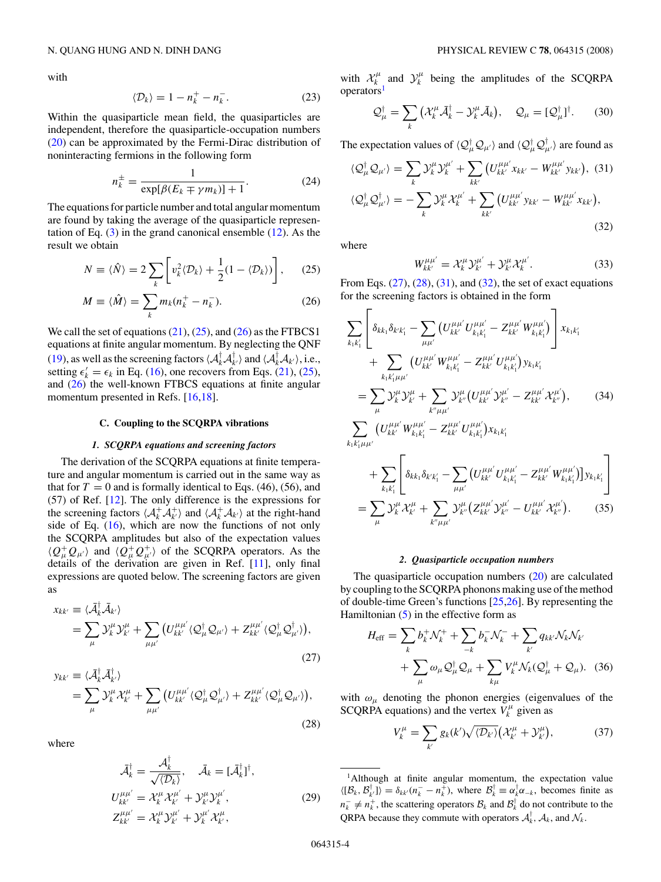<span id="page-3-0"></span>with

$$
\langle \mathcal{D}_k \rangle = 1 - n_k^+ - n_k^-.
$$
 (23)

Within the quasiparticle mean field, the quasiparticles are independent, therefore the quasiparticle-occupation numbers [\(20\)](#page-2-0) can be approximated by the Fermi-Dirac distribution of noninteracting fermions in the following form

$$
n_k^{\pm} = \frac{1}{\exp[\beta(E_k \mp \gamma m_k)] + 1}.
$$
 (24)

The equations for particle number and total angular momentum are found by taking the average of the quasiparticle representation of Eq.  $(3)$  in the grand canonical ensemble  $(12)$ . As the result we obtain

$$
N \equiv \langle \hat{N} \rangle = 2 \sum_{k} \left[ v_k^2 \langle \mathcal{D}_k \rangle + \frac{1}{2} (1 - \langle \mathcal{D}_k \rangle) \right], \quad (25)
$$

$$
M \equiv \langle \hat{M} \rangle = \sum_{k} m_k (n_k^+ - n_k^-). \tag{26}
$$

We call the set of equations  $(21)$ ,  $(25)$ , and  $(26)$  as the FTBCS1 equations at finite angular momentum. By neglecting the QNF [\(19\)](#page-2-0), as well as the screening factors  $\langle A_k^{\dagger} A_{k'}^{\dagger} \rangle$  and  $\langle A_k^{\dagger} A_{k'} \rangle$ , i.e., setting  $\epsilon'_k = \epsilon_k$  in Eq. [\(16\)](#page-2-0), one recovers from Eqs. [\(21\)](#page-2-0), (25), and (26) the well-known FTBCS equations at finite angular momentum presented in Refs. [\[16,18\]](#page-12-0).

## **C. Coupling to the SCQRPA vibrations**

### *1. SCQRPA equations and screening factors*

The derivation of the SCQRPA equations at finite temperature and angular momentum is carried out in the same way as that for  $T = 0$  and is formally identical to Eqs. (46), (56), and (57) of Ref. [\[12\]](#page-12-0). The only difference is the expressions for the screening factors  $\langle A_k^+ A_k^+ \rangle$  and  $\langle A_k^+ A_{k'} \rangle$  at the right-hand side of Eq.  $(16)$ , which are now the functions of not only the SCQRPA amplitudes but also of the expectation values  $\langle Q^+_\mu Q_{\mu'} \rangle$  and  $\langle Q^+_\mu Q^+_{\mu'} \rangle$  of the SCQRPA operators. As the details of the derivation are given in Ref. [\[11\]](#page-12-0), only final expressions are quoted below. The screening factors are given as

$$
x_{kk'} \equiv \langle \bar{\mathcal{A}}_k^{\dagger} \bar{\mathcal{A}}_{k'} \rangle
$$
  
=  $\sum_{\mu} \mathcal{Y}_{k}^{\mu} \mathcal{Y}_{k'}^{\mu} + \sum_{\mu \mu'} \left( U_{kk'}^{\mu \mu'} \langle \mathcal{Q}_{\mu}^{\dagger} \mathcal{Q}_{\mu'} \rangle + Z_{kk'}^{\mu \mu'} \langle \mathcal{Q}_{\mu}^{\dagger} \mathcal{Q}_{\mu'}^{\dagger} \rangle \right),$  (27)

$$
y_{kk'} \equiv \langle \bar{\mathcal{A}}_k^{\dagger} \bar{\mathcal{A}}_{k'}^{\dagger} \rangle
$$
  
=  $\sum_{\mu} \mathcal{Y}_k^{\mu} \mathcal{X}_{k'}^{\mu} + \sum_{\mu \mu'} \left( U_{kk'}^{\mu \mu'} \langle \mathcal{Q}_{\mu}^{\dagger} \mathcal{Q}_{\mu'}^{\dagger} \rangle + Z_{kk'}^{\mu \mu'} \langle \mathcal{Q}_{\mu}^{\dagger} \mathcal{Q}_{\mu'} \rangle \right),$  (28)

where

$$
\bar{\mathcal{A}}_k^{\dagger} = \frac{\mathcal{A}_k^{\dagger}}{\sqrt{\langle \mathcal{D}_k \rangle}}, \quad \bar{\mathcal{A}}_k = [\bar{\mathcal{A}}_k^{\dagger}]^{\dagger},
$$
\n
$$
U_{kk'}^{\mu\mu'} = \mathcal{X}_k^{\mu} \mathcal{X}_{k'}^{\mu'} + \mathcal{Y}_{k'}^{\mu} \mathcal{Y}_{k'}^{\mu'},
$$
\n
$$
Z_{kk'}^{\mu\mu'} = \mathcal{X}_k^{\mu} \mathcal{Y}_{k'}^{\mu'} + \mathcal{Y}_{k'}^{\mu'} \mathcal{X}_{k'}^{\mu},
$$
\n(29)

with  $\mathcal{X}_{k}^{\mu}$  and  $\mathcal{Y}_{k}^{\mu}$  being the amplitudes of the SCQRPA operators<sup>1</sup>

$$
\mathcal{Q}_{\mu}^{\dagger} = \sum_{k} \left( \mathcal{X}_{k}^{\mu} \bar{\mathcal{A}}_{k}^{\dagger} - \mathcal{Y}_{k}^{\mu} \bar{\mathcal{A}}_{k} \right), \quad \mathcal{Q}_{\mu} = [\mathcal{Q}_{\mu}^{\dagger}]^{\dagger}.
$$
 (30)

The expectation values of  $\langle \mathcal{Q}^{\dagger}_{\mu} \mathcal{Q}_{\mu'} \rangle$  and  $\langle \mathcal{Q}^{\dagger}_{\mu} \mathcal{Q}^{\dagger}_{\mu'} \rangle$  are found as

$$
\langle \mathcal{Q}_{\mu}^{\dagger} \mathcal{Q}_{\mu'} \rangle = \sum_{k} \mathcal{Y}_{k}^{\mu} \mathcal{Y}_{k}^{\mu'} + \sum_{kk'} \left( U_{kk'}^{\mu \mu'} x_{kk'} - W_{kk'}^{\mu \mu'} y_{kk'} \right), (31)
$$
  

$$
\langle \mathcal{Q}_{\mu}^{\dagger} \mathcal{Q}_{\mu'}^{\dagger} \rangle = - \sum_{k} \mathcal{Y}_{k}^{\mu} \mathcal{X}_{k}^{\mu'} + \sum_{kk'} \left( U_{kk'}^{\mu \mu'} y_{kk'} - W_{kk'}^{\mu \mu'} x_{kk'} \right),
$$
  
(32)

where

$$
W_{kk'}^{\mu\mu'} = \mathcal{X}_k^{\mu} \mathcal{Y}_{k'}^{\mu'} + \mathcal{Y}_{k'}^{\mu} \mathcal{X}_k^{\mu'}.
$$
 (33)

From Eqs.  $(27)$ ,  $(28)$ ,  $(31)$ , and  $(32)$ , the set of exact equations for the screening factors is obtained in the form

$$
\sum_{k_{1}k'_{1}}\left[\delta_{kk_{1}}\delta_{k'k'_{1}}-\sum_{\mu\mu'}\left(U^{\mu\mu'}_{kk'}U^{\mu\mu'}_{k_{1}k'_{1}}-Z^{\mu\mu'}_{kk'}W^{\mu\mu'}_{k_{1}k'_{1}}\right)\right]x_{k_{1}k'_{1}} + \sum_{k_{1}k'_{1}\mu\mu'}\left(U^{\mu\mu'}_{kk'}W^{\mu\mu'}_{k_{1}k'_{1}}-Z^{\mu\mu'}_{kk'}U^{\mu\mu'}_{k_{1}k'_{1}}\right)y_{k_{1}k'_{1}} \\
= \sum_{\mu}\mathcal{Y}_{k}^{\mu}\mathcal{Y}_{k'}^{\mu}+\sum_{k''\mu\mu'}\mathcal{Y}_{k''}^{\mu}\left(U^{\mu\mu'}_{kk'}\mathcal{Y}_{k''}^{\mu'}-Z^{\mu\mu'}_{kk'}\mathcal{X}_{k''}^{\mu'}\right), \qquad (34)
$$
\n
$$
\sum_{k_{1}k'_{1}\mu\mu'}\left(U^{\mu\mu'}_{kk'}W^{\mu\mu'}_{k_{1}k'_{1}}-Z^{\mu\mu'}_{kk'}U^{\mu\mu'}_{k_{1}k'_{1}}\right) + \sum_{k_{1}k'_{1}}\left[\delta_{kk_{1}}\delta_{k'k'_{1}}-\sum_{\mu\mu'}\left(U^{\mu\mu'}_{kk'}U^{\mu\mu'}_{k_{1}k'_{1}}-Z^{\mu\mu'}_{kk'}W^{\mu\mu'}_{k_{1}k'_{1}}\right]\right]y_{k_{1}k'_{1}} \\
= \sum_{\mu}\mathcal{Y}_{k}^{\mu}\mathcal{X}_{k'}^{\mu}+\sum_{k''\mu\mu'}\mathcal{Y}_{k''}^{\mu'}\left(Z^{\mu\mu'}_{kk'}\mathcal{Y}_{k''}^{\mu'}-U^{\mu\mu'}_{kk'}\mathcal{X}_{k''}^{\mu'}\right). \qquad (35)
$$

#### *2. Quasiparticle occupation numbers*

The quasiparticle occupation numbers [\(20\)](#page-2-0) are calculated by coupling to the SCQRPA phonons making use of the method of double-time Green's functions [\[25,26\]](#page-12-0). By representing the Hamiltonian [\(5\)](#page-2-0) in the effective form as

$$
H_{\text{eff}} = \sum_{k} b_{k}^{+} \mathcal{N}_{k}^{+} + \sum_{-k} b_{k}^{-} \mathcal{N}_{k}^{-} + \sum_{k'} q_{kk'} \mathcal{N}_{k} \mathcal{N}_{k'}
$$

$$
+ \sum_{\mu} \omega_{\mu} \mathcal{Q}_{\mu}^{\dagger} \mathcal{Q}_{\mu} + \sum_{k\mu} V_{k}^{\mu} \mathcal{N}_{k} (\mathcal{Q}_{\mu}^{\dagger} + \mathcal{Q}_{\mu}). \quad (36)
$$

with  $\omega_{\mu}$  denoting the phonon energies (eigenvalues of the SCQRPA equations) and the vertex  $V_k^{\mu}$  given as

$$
V_k^{\mu} = \sum_{k'} g_k(k') \sqrt{\langle \mathcal{D}_{k'} \rangle} \big( \mathcal{X}_{k'}^{\mu} + \mathcal{Y}_{k'}^{\mu} \big), \tag{37}
$$

<sup>1</sup>Although at finite angular momentum, the expectation value  $\langle [\mathcal{B}_k, \mathcal{B}_{k'}^{\dagger}] \rangle = \delta_{kk'}(n_k^- - n_k^+)$ , where  $\mathcal{B}_k^{\dagger} \equiv \alpha_k^{\dagger} \alpha_{-k}$ , becomes finite as  $n_k^- \neq n_k^+$ , the scattering operators  $B_k$  and  $B_k^{\dagger}$  do not contribute to the QRPA because they commute with operators  $A_k^{\dagger}$ ,  $A_k$ , and  $\mathcal{N}_k$ .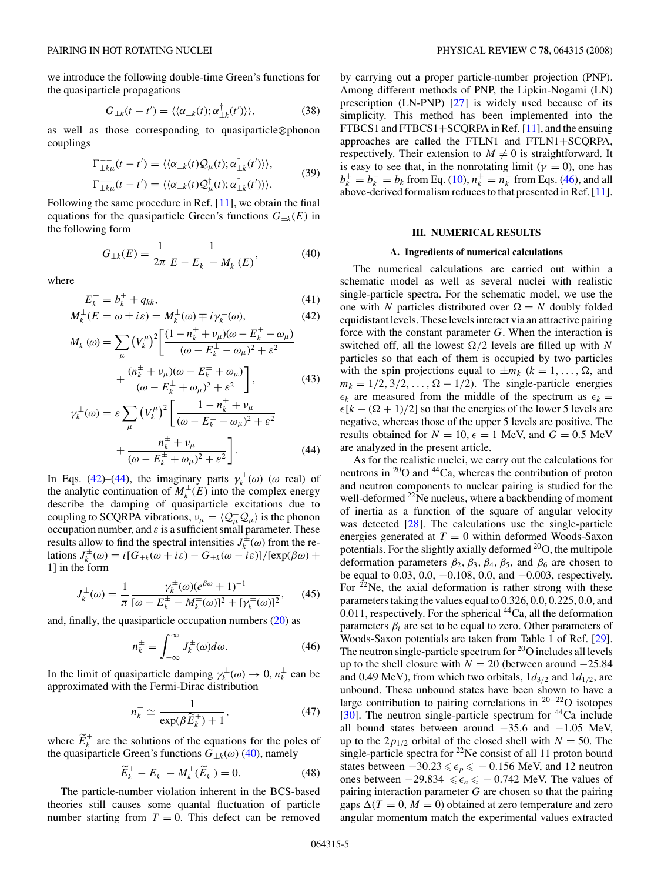<span id="page-4-0"></span>we introduce the following double-time Green's functions for the quasiparticle propagations

$$
G_{\pm k}(t - t') = \langle \langle \alpha_{\pm k}(t); \alpha^{\dagger}_{\pm k}(t') \rangle \rangle, \tag{38}
$$

as well as those corresponding to quasiparticle⊗phonon couplings

$$
\Gamma_{\pm k\mu}^{-}(t-t') = \langle \langle \alpha_{\pm k}(t) \mathcal{Q}_{\mu}(t); \alpha_{\pm k}^{\dagger}(t') \rangle \rangle, \n\Gamma_{\pm k\mu}^{-+}(t-t') = \langle \langle \alpha_{\pm k}(t) \mathcal{Q}_{\mu}^{\dagger}(t); \alpha_{\pm k}^{\dagger}(t') \rangle \rangle.
$$
\n(39)

Following the same procedure in Ref. [\[11\]](#page-12-0), we obtain the final equations for the quasiparticle Green's functions  $G_{\pm k}(E)$  in the following form

$$
G_{\pm k}(E) = \frac{1}{2\pi} \frac{1}{E - E_k^{\pm} - M_k^{\pm}(E)},
$$
(40)

where

$$
E_k^{\pm} = b_k^{\pm} + q_{kk},
$$
  
\n
$$
M_k^{\pm}(E = \omega \pm i\varepsilon) = M_k^{\pm}(\omega) \mp i\gamma_k^{\pm}(\omega),
$$
\n(42)

$$
M_k^{\pm}(\omega) = \sum_{\mu} \left( V_k^{\mu} \right)^2 \left[ \frac{(1 - n_k^{\pm} + v_{\mu})(\omega - E_k^{\pm} - \omega_{\mu})}{(\omega - E_k^{\pm} - \omega_{\mu})^2 + \varepsilon^2} + \frac{(n_k^{\pm} + v_{\mu})(\omega - E_k^{\pm} + \omega_{\mu})}{(\omega - E_k^{\pm} + \omega_{\mu})^2 + \varepsilon^2} \right],
$$
(43)

$$
\gamma_k^{\pm}(\omega) = \varepsilon \sum_{\mu} \left(V_k^{\mu}\right)^2 \left[\frac{1 - n_k^{\pm} + v_{\mu}}{(\omega - E_k^{\pm} - \omega_{\mu})^2 + \varepsilon^2} + \frac{n_k^{\pm} + v_{\mu}}{(\omega - E_k^{\pm} + \omega_{\mu})^2 + \varepsilon^2}\right].
$$
\n(44)

In Eqs. (42)–(44), the imaginary parts  $\gamma_k^{\pm}(\omega)$  ( $\omega$  real) of the analytic continuation of  $M_k^{\pm}(E)$  into the complex energy describe the damping of quasiparticle excitations due to coupling to SCQRPA vibrations,  $v_{\mu} = \langle Q^+_{\mu} Q_{\mu} \rangle$  is the phonon occupation number, and  $\varepsilon$  is a sufficient small parameter. These results allow to find the spectral intensities  $J_k^{\pm}(\omega)$  from the relations  $J_k^{\pm}(\omega) = i[G_{\pm k}(\omega + i\varepsilon) - G_{\pm k}(\omega - i\varepsilon)]/[\exp(\beta \omega) +$ 1] in the form

$$
J_k^{\pm}(\omega) = \frac{1}{\pi} \frac{\gamma_k^{\pm}(\omega)(e^{\beta \omega} + 1)^{-1}}{[\omega - E_k^{\pm} - M_k^{\pm}(\omega)]^2 + [\gamma_k^{\pm}(\omega)]^2},\qquad(45)
$$

and, finally, the quasiparticle occupation numbers  $(20)$  as

$$
n_k^{\pm} = \int_{-\infty}^{\infty} J_k^{\pm}(\omega) d\omega.
$$
 (46)

In the limit of quasiparticle damping  $\gamma_k^{\pm}(\omega) \to 0$ ,  $n_k^{\pm}$  can be approximated with the Fermi-Dirac distribution

$$
n_k^{\pm} \simeq \frac{1}{\exp(\beta \widetilde{E}_k^{\pm}) + 1},\tag{47}
$$

where  $E_k^{\pm}$  are the solutions of the equations for the poles of the quasiparticle Green's functions  $G_{\pm k}(\omega)$  (40), namely

$$
\tilde{E}_k^{\pm} - E_k^{\pm} - M_k^{\pm}(\tilde{E}_k^{\pm}) = 0.
$$
 (48)

The particle-number violation inherent in the BCS-based theories still causes some quantal fluctuation of particle number starting from  $T = 0$ . This defect can be removed by carrying out a proper particle-number projection (PNP). Among different methods of PNP, the Lipkin-Nogami (LN) prescription (LN-PNP) [\[27\]](#page-12-0) is widely used because of its simplicity. This method has been implemented into the FTBCS1 and FTBCS1+SCQRPA in Ref. [\[11\]](#page-12-0), and the ensuing approaches are called the FTLN1 and FTLN1+SCQRPA, respectively. Their extension to  $M \neq 0$  is straightforward. It is easy to see that, in the nonrotating limit ( $\gamma = 0$ ), one has  $b_k^+ = b_k^- = b_k$  from Eq. [\(10\)](#page-2-0),  $n_k^+ = n_k^-$  from Eqs. (46), and all above-derived formalism reduces to that presented in Ref. [\[11\]](#page-12-0).

### **III. NUMERICAL RESULTS**

### **A. Ingredients of numerical calculations**

The numerical calculations are carried out within a schematic model as well as several nuclei with realistic single-particle spectra. For the schematic model, we use the one with *N* particles distributed over  $\Omega = N$  doubly folded equidistant levels. These levels interact via an attractive pairing force with the constant parameter *G*. When the interaction is switched off, all the lowest  $\Omega/2$  levels are filled up with N particles so that each of them is occupied by two particles with the spin projections equal to  $\pm m_k$  ( $k = 1, \ldots, \Omega$ , and  $m_k = 1/2, 3/2, \ldots, \Omega - 1/2$ . The single-particle energies  $\epsilon_k$  are measured from the middle of the spectrum as  $\epsilon_k =$  $\epsilon$ [ $k - (\Omega + 1)/2$ ] so that the energies of the lower 5 levels are negative, whereas those of the upper 5 levels are positive. The results obtained for  $N = 10$ ,  $\epsilon = 1$  MeV, and  $G = 0.5$  MeV are analyzed in the present article.

As for the realistic nuclei, we carry out the calculations for neutrons in 20O and 44Ca, whereas the contribution of proton and neutron components to nuclear pairing is studied for the well-deformed <sup>22</sup>Ne nucleus, where a backbending of moment of inertia as a function of the square of angular velocity was detected [\[28\]](#page-12-0). The calculations use the single-particle energies generated at  $T = 0$  within deformed Woods-Saxon potentials. For the slightly axially deformed 20O, the multipole deformation parameters  $\beta_2$ ,  $\beta_3$ ,  $\beta_4$ ,  $\beta_5$ , and  $\beta_6$  are chosen to be equal to 0.03, 0.0, −0.108, 0.0, and −0.003, respectively. For  $^{22}$ Ne, the axial deformation is rather strong with these parameters taking the values equal to 0.326, 0.0, 0.225, 0.0, and 0.011, respectively. For the spherical <sup>44</sup>Ca, all the deformation parameters  $\beta_i$  are set to be equal to zero. Other parameters of Woods-Saxon potentials are taken from Table 1 of Ref. [\[29\]](#page-12-0). The neutron single-particle spectrum for  $20$  o includes all levels up to the shell closure with  $N = 20$  (between around  $-25.84$ ) and 0.49 MeV), from which two orbitals,  $1d_{3/2}$  and  $1d_{1/2}$ , are unbound. These unbound states have been shown to have a large contribution to pairing correlations in <sup>20</sup>−22O isotopes [\[30\]](#page-12-0). The neutron single-particle spectrum for  ${}^{44}Ca$  include all bound states between around −35.6 and −1.05 MeV, up to the  $2p_{1/2}$  orbital of the closed shell with  $N = 50$ . The single-particle spectra for  $22$ Ne consist of all 11 proton bound states between  $-30.23 \le \epsilon_p \le -0.156$  MeV, and 12 neutron ones between  $-29.834 \le \epsilon_n \le -0.742$  MeV. The values of pairing interaction parameter *G* are chosen so that the pairing gaps  $\Delta(T = 0, M = 0)$  obtained at zero temperature and zero angular momentum match the experimental values extracted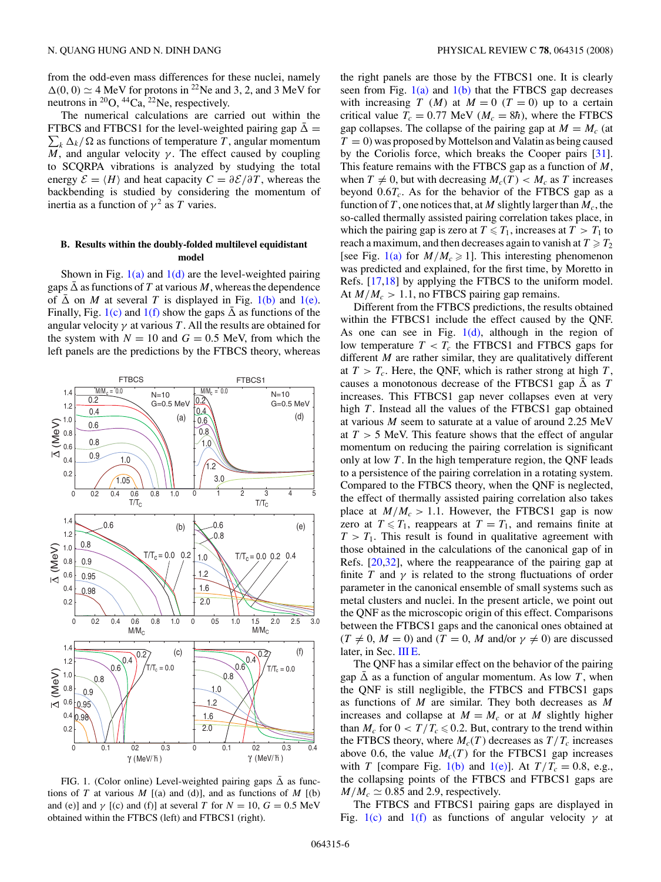<span id="page-5-0"></span>from the odd-even mass differences for these nuclei, namely  $\Delta(0, 0) \simeq 4$  MeV for protons in <sup>22</sup>Ne and 3, 2, and 3 MeV for neutrons in  ${}^{20}O$ ,  ${}^{44}Ca$ ,  ${}^{22}Ne$ , respectively.

The numerical calculations are carried out within the FTBCS and FTBCS1 for the level-weighted pairing gap  $\bar{\Delta} =$  $\sum_k \Delta_k / \Omega$  as functions of temperature *T*, angular momentum *M*, and angular velocity  $\gamma$ . The effect caused by coupling to SCQRPA vibrations is analyzed by studying the total energy  $\mathcal{E} = \langle H \rangle$  and heat capacity  $C = \frac{\partial \mathcal{E}}{\partial T}$ , whereas the backbending is studied by considering the momentum of inertia as a function of  $\gamma^2$  as *T* varies.

## **B. Results within the doubly-folded multilevel equidistant model**

Shown in Fig.  $1(a)$  and  $1(d)$  are the level-weighted pairing gaps  $\bar{\Delta}$  as functions of T at various M, whereas the dependence of  $\bar{\Delta}$  on *M* at several *T* is displayed in Fig. 1(b) and 1(e). Finally, Fig. 1(c) and 1(f) show the gaps  $\bar{\Delta}$  as functions of the angular velocity  $\gamma$  at various *T*. All the results are obtained for the system with  $N = 10$  and  $G = 0.5$  MeV, from which the left panels are the predictions by the FTBCS theory, whereas



FIG. 1. (Color online) Level-weighted pairing gaps  $\Delta$  as functions of *T* at various *M* [(a) and (d)], and as functions of *M* [(b) and (e)] and  $\gamma$  [(c) and (f)] at several *T* for  $N = 10$ ,  $G = 0.5$  MeV obtained within the FTBCS (left) and FTBCS1 (right).

the right panels are those by the FTBCS1 one. It is clearly seen from Fig.  $1(a)$  and  $1(b)$  that the FTBCS gap decreases with increasing *T* (*M*) at  $M = 0$  (*T* = 0) up to a certain critical value  $T_c = 0.77$  MeV ( $M_c = 8\hbar$ ), where the FTBCS gap collapses. The collapse of the pairing gap at  $M = M_c$  (at  $T = 0$ ) was proposed by Mottelson and Valatin as being caused by the Coriolis force, which breaks the Cooper pairs [\[31\]](#page-12-0). This feature remains with the FTBCS gap as a function of *M*, when  $T \neq 0$ , but with decreasing  $M_c(T) < M_c$  as *T* increases beyond  $0.6T_c$ . As for the behavior of the FTBCS gap as a function of *T*, one notices that, at *M* slightly larger than  $M_c$ , the so-called thermally assisted pairing correlation takes place, in which the pairing gap is zero at  $T \leq T_1$ , increases at  $T > T_1$  to reach a maximum, and then decreases again to vanish at  $T \geq T_2$ [see Fig. 1(a) for  $M/M_c \ge 1$ ]. This interesting phenomenon was predicted and explained, for the first time, by Moretto in Refs. [\[17,18\]](#page-12-0) by applying the FTBCS to the uniform model. At  $M/M_c > 1.1$ , no FTBCS pairing gap remains.

Different from the FTBCS predictions, the results obtained within the FTBCS1 include the effect caused by the QNF. As one can see in Fig.  $1(d)$ , although in the region of low temperature  $T < T_c$  the FTBCS1 and FTBCS gaps for different *M* are rather similar, they are qualitatively different at  $T > T_c$ . Here, the QNF, which is rather strong at high *T*, causes a monotonous decrease of the FTBCS1 gap  $\overline{\Delta}$  as *T* increases. This FTBCS1 gap never collapses even at very high *T*. Instead all the values of the FTBCS1 gap obtained at various *M* seem to saturate at a value of around 2.25 MeV at *T >* 5 MeV. This feature shows that the effect of angular momentum on reducing the pairing correlation is significant only at low *T* . In the high temperature region, the QNF leads to a persistence of the pairing correlation in a rotating system. Compared to the FTBCS theory, when the QNF is neglected, the effect of thermally assisted pairing correlation also takes place at  $M/M_c > 1.1$ . However, the FTBCS1 gap is now zero at  $T \leq T_1$ , reappears at  $T = T_1$ , and remains finite at  $T > T_1$ . This result is found in qualitative agreement with those obtained in the calculations of the canonical gap of in Refs. [\[20,32\]](#page-12-0), where the reappearance of the pairing gap at finite *T* and  $\gamma$  is related to the strong fluctuations of order parameter in the canonical ensemble of small systems such as metal clusters and nuclei. In the present article, we point out the QNF as the microscopic origin of this effect. Comparisons between the FTBCS1 gaps and the canonical ones obtained at  $(T \neq 0, M = 0)$  and  $(T = 0, M$  and/or  $\gamma \neq 0$ ) are discussed later, in Sec. [III E.](#page-8-0)

The QNF has a similar effect on the behavior of the pairing gap  $\Delta$  as a function of angular momentum. As low *T*, when the QNF is still negligible, the FTBCS and FTBCS1 gaps as functions of *M* are similar. They both decreases as *M* increases and collapse at  $M = M_c$  or at *M* slightly higher than  $M_c$  for  $0 < T/T_c \le 0.2$ . But, contrary to the trend within the FTBCS theory, where  $M_c(T)$  decreases as  $T/T_c$  increases above 0.6, the value  $M_c(T)$  for the FTBCS1 gap increases with *T* [compare Fig. 1(b) and 1(e)]. At  $T/T_c = 0.8$ , e.g., the collapsing points of the FTBCS and FTBCS1 gaps are  $M/M_c \simeq 0.85$  and 2.9, respectively.

The FTBCS and FTBCS1 pairing gaps are displayed in Fig. 1(c) and 1(f) as functions of angular velocity  $\gamma$  at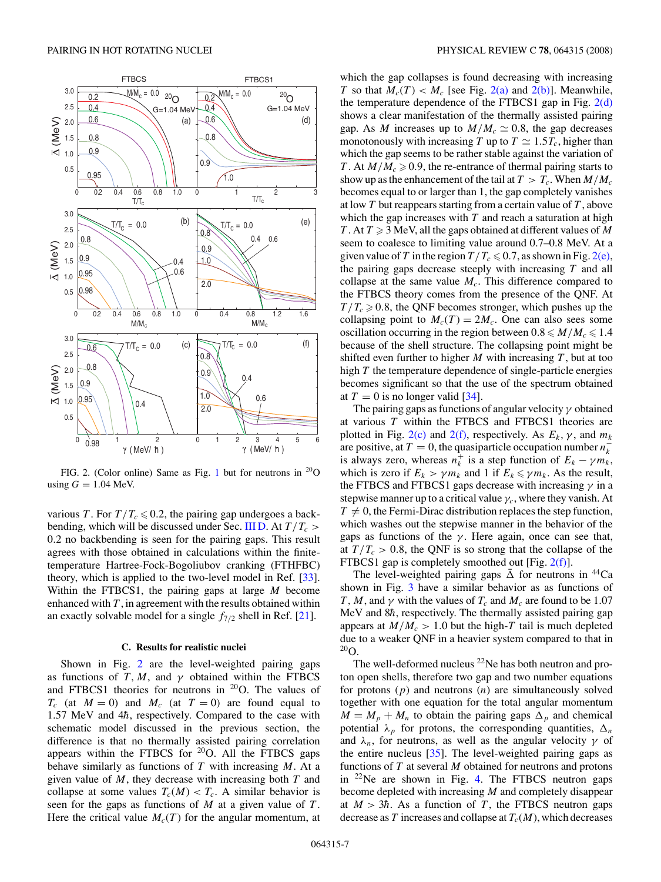

FIG. 2. (Color online) Same as Fig. [1](#page-5-0) but for neutrons in  $^{20}O$ using  $G = 1.04$  MeV.

various *T*. For  $T/T_c \le 0.2$ , the pairing gap undergoes a back-bending, which will be discussed under Sec. [III D.](#page-8-0) At  $T/T_c$  > 0*.*2 no backbending is seen for the pairing gaps. This result agrees with those obtained in calculations within the finitetemperature Hartree-Fock-Bogoliubov cranking (FTHFBC) theory, which is applied to the two-level model in Ref. [\[33\]](#page-12-0). Within the FTBCS1, the pairing gaps at large *M* become enhanced with *T* , in agreement with the results obtained within an exactly solvable model for a single  $f_{7/2}$  shell in Ref. [\[21\]](#page-12-0).

### **C. Results for realistic nuclei**

Shown in Fig. 2 are the level-weighted pairing gaps as functions of  $T, M$ , and  $\gamma$  obtained within the FTBCS and FTBCS1 theories for neutrons in  $^{20}O$ . The values of  $T_c$  (at  $M = 0$ ) and  $M_c$  (at  $T = 0$ ) are found equal to 1.57 MeV and 4 $\hbar$ , respectively. Compared to the case with schematic model discussed in the previous section, the difference is that no thermally assisted pairing correlation appears within the FTBCS for  $20$ O. All the FTBCS gaps behave similarly as functions of *T* with increasing *M*. At a given value of *M*, they decrease with increasing both *T* and collapse at some values  $T_c(M) < T_c$ . A similar behavior is seen for the gaps as functions of *M* at a given value of *T* . Here the critical value  $M_c(T)$  for the angular momentum, at which the gap collapses is found decreasing with increasing *T* so that  $M_c(T) < M_c$  [see Fig. 2(a) and 2(b)]. Meanwhile, the temperature dependence of the FTBCS1 gap in Fig.  $2(d)$ shows a clear manifestation of the thermally assisted pairing gap. As *M* increases up to  $M/M_c \simeq 0.8$ , the gap decreases monotonously with increasing *T* up to  $T \simeq 1.5T_c$ , higher than which the gap seems to be rather stable against the variation of *T*. At  $M/M_c \ge 0.9$ , the re-entrance of thermal pairing starts to show up as the enhancement of the tail at  $T > T_c$ . When  $M/M_c$ becomes equal to or larger than 1, the gap completely vanishes at low *T* but reappears starting from a certain value of *T* , above which the gap increases with *T* and reach a saturation at high *T* . At  $T \geq 3$  MeV, all the gaps obtained at different values of M seem to coalesce to limiting value around 0.7–0.8 MeV. At a given value of *T* in the region  $T/T_c \leqslant 0.7$ , as shown in Fig. 2(e), the pairing gaps decrease steeply with increasing *T* and all collapse at the same value  $M_c$ . This difference compared to the FTBCS theory comes from the presence of the QNF. At  $T/T_c \ge 0.8$ , the QNF becomes stronger, which pushes up the collapsing point to  $M_c(T) = 2M_c$ . One can also sees some oscillation occurring in the region between  $0.8 \le M/M_c \le 1.4$ because of the shell structure. The collapsing point might be shifted even further to higher  $M$  with increasing  $T$ , but at too high *T* the temperature dependence of single-particle energies becomes significant so that the use of the spectrum obtained at  $T = 0$  is no longer valid [\[34\]](#page-12-0).

The pairing gaps as functions of angular velocity *γ* obtained at various *T* within the FTBCS and FTBCS1 theories are plotted in Fig.  $2(c)$  and  $2(f)$ , respectively. As  $E_k$ ,  $\gamma$ , and  $m_k$ are positive, at  $T = 0$ , the quasiparticle occupation number  $n_k^$ is always zero, whereas  $n_k^+$  is a step function of  $E_k - \gamma m_k$ , which is zero if  $E_k > \gamma m_k$  and 1 if  $E_k \le \gamma m_k$ . As the result, the FTBCS and FTBCS1 gaps decrease with increasing *γ* in a stepwise manner up to a critical value  $\gamma_c$ , where they vanish. At  $T \neq 0$ , the Fermi-Dirac distribution replaces the step function, which washes out the stepwise manner in the behavior of the gaps as functions of the  $\gamma$ . Here again, once can see that, at  $T/T_c > 0.8$ , the QNF is so strong that the collapse of the FTBCS1 gap is completely smoothed out [Fig. 2(f)].

The level-weighted pairing gaps  $\bar{\Delta}$  for neutrons in <sup>44</sup>Ca shown in Fig. [3](#page-7-0) have a similar behavior as as functions of *T*, *M*, and *γ* with the values of  $T_c$  and  $M_c$  are found to be 1.07 MeV and 8 $\hbar$ , respectively. The thermally assisted pairing gap appears at  $M/M_c > 1.0$  but the high-T tail is much depleted due to a weaker QNF in a heavier system compared to that in  $^{20}$ O.

The well-deformed nucleus  $^{22}$ Ne has both neutron and proton open shells, therefore two gap and two number equations for protons (*p*) and neutrons (*n*) are simultaneously solved together with one equation for the total angular momentum  $M = M_p + M_n$  to obtain the pairing gaps  $\Delta_p$  and chemical potential  $\lambda_p$  for protons, the corresponding quantities,  $\Delta_n$ and  $\lambda_n$ , for neutrons, as well as the angular velocity  $\gamma$  of the entire nucleus [\[35\]](#page-12-0). The level-weighted pairing gaps as functions of *T* at several *M* obtained for neutrons and protons in  $^{22}$ Ne are shown in Fig. [4.](#page-7-0) The FTBCS neutron gaps become depleted with increasing *M* and completely disappear at  $M > 3\hbar$ . As a function of *T*, the FTBCS neutron gaps decrease as *T* increases and collapse at  $T_c(M)$ , which decreases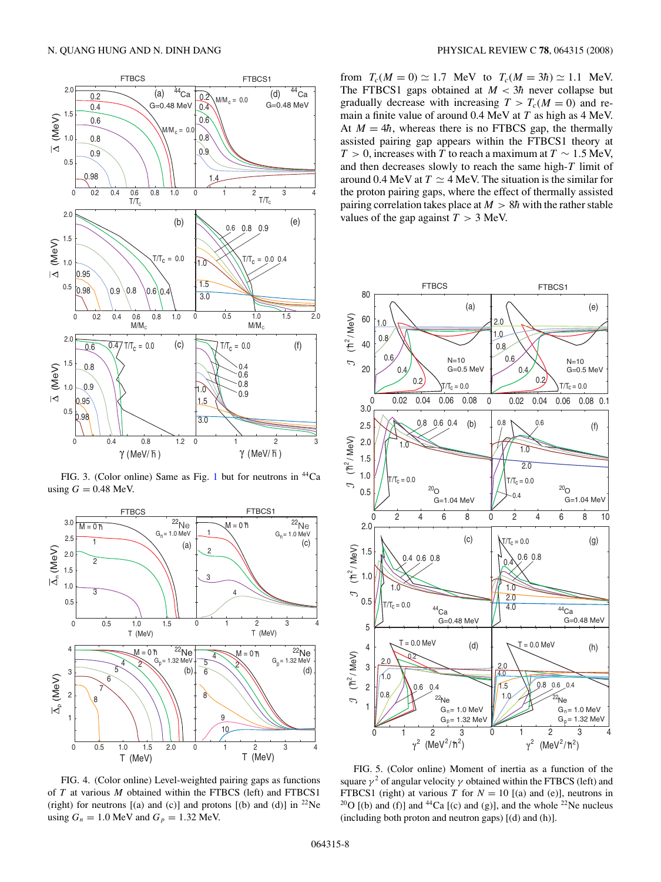<span id="page-7-0"></span>

FIG. 3. (Color online) Same as Fig. [1](#page-5-0) but for neutrons in <sup>44</sup>Ca using  $G = 0.48$  MeV.



FIG. 4. (Color online) Level-weighted pairing gaps as functions of *T* at various *M* obtained within the FTBCS (left) and FTBCS1 (right) for neutrons  $[(a)$  and  $(c)]$  and protons  $[(b)$  and  $(d)]$  in <sup>22</sup>Ne using  $G_n = 1.0$  MeV and  $G_p = 1.32$  MeV.

from  $T_c(M = 0) \approx 1.7$  MeV to  $T_c(M = 3\hbar) \approx 1.1$  MeV. The FTBCS1 gaps obtained at  $M < 3\hbar$  never collapse but gradually decrease with increasing  $T > T_c(M = 0)$  and remain a finite value of around 0.4 MeV at *T* as high as 4 MeV. At  $M = 4\hbar$ , whereas there is no FTBCS gap, the thermally assisted pairing gap appears within the FTBCS1 theory at *T* > 0, increases with *T* to reach a maximum at  $T \sim 1.5$  MeV, and then decreases slowly to reach the same high-*T* limit of around 0.4 MeV at  $T \simeq 4$  MeV. The situation is the similar for the proton pairing gaps, where the effect of thermally assisted pairing correlation takes place at  $M > 8\hbar$  with the rather stable values of the gap against  $T > 3$  MeV.



FIG. 5. (Color online) Moment of inertia as a function of the square  $\gamma^2$  of angular velocity  $\gamma$  obtained within the FTBCS (left) and FTBCS1 (right) at various *T* for  $N = 10$  [(a) and (e)], neutrons in  $^{20}$ O [(b) and (f)] and <sup>44</sup>Ca [(c) and (g)], and the whole <sup>22</sup>Ne nucleus (including both proton and neutron gaps)  $[(d)$  and  $(h)]$ .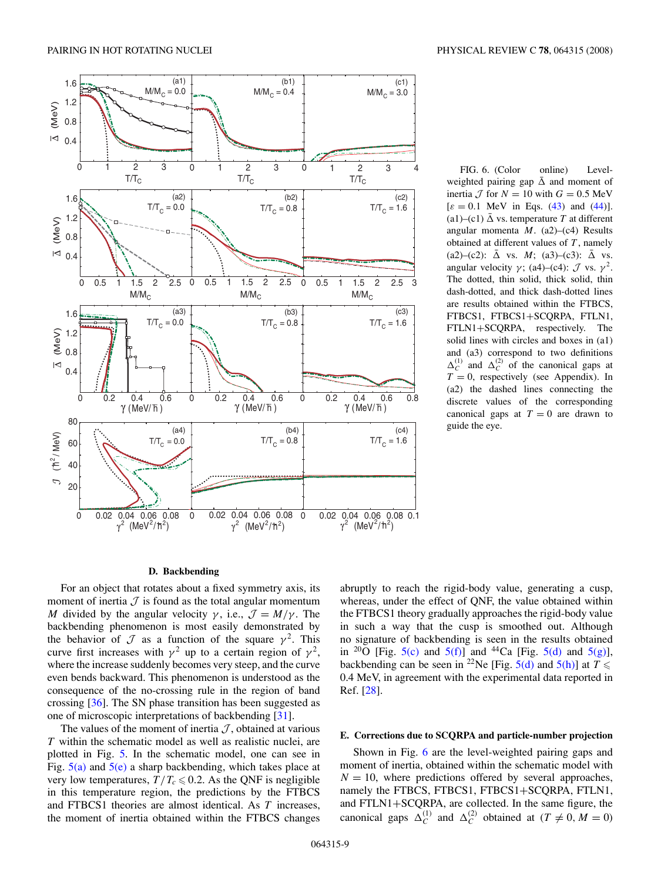<span id="page-8-0"></span>

FIG. 6. (Color online) Levelweighted pairing gap  $\bar{\Delta}$  and moment of inertia  $\mathcal{J}$  for  $N = 10$  with  $G = 0.5$  MeV  $[\varepsilon = 0.1 \text{ MeV} \text{ in Eqs. (43) and (44)}].$  $[\varepsilon = 0.1 \text{ MeV} \text{ in Eqs. (43) and (44)}].$  $[\varepsilon = 0.1 \text{ MeV} \text{ in Eqs. (43) and (44)}].$  $[\varepsilon = 0.1 \text{ MeV} \text{ in Eqs. (43) and (44)}].$  $[\varepsilon = 0.1 \text{ MeV} \text{ in Eqs. (43) and (44)}].$ (a1)–(c1)  $\bar{\Delta}$  vs. temperature *T* at different angular momenta *M*. (a2)–(c4) Results obtained at different values of *T* , namely (a2)–(c2):  $\bar{\Delta}$  vs. *M*; (a3)–(c3):  $\bar{\Delta}$  vs. angular velocity  $\gamma$ ; (a4)–(c4):  $\mathcal{J}$  vs.  $\gamma^2$ . The dotted, thin solid, thick solid, thin dash-dotted, and thick dash-dotted lines are results obtained within the FTBCS, FTBCS1, FTBCS1+SCQRPA, FTLN1, FTLN1+SCQRPA, respectively. The solid lines with circles and boxes in (a1) and (a3) correspond to two definitions  $\Delta_C^{(1)}$  and  $\Delta_C^{(2)}$  of the canonical gaps at  $T = 0$ , respectively (see Appendix). In (a2) the dashed lines connecting the discrete values of the corresponding canonical gaps at  $T = 0$  are drawn to guide the eye.

#### **D. Backbending**

For an object that rotates about a fixed symmetry axis, its moment of inertia  $J$  is found as the total angular momentum *M* divided by the angular velocity  $\gamma$ , i.e.,  $\mathcal{J} = M/\gamma$ . The backbending phenomenon is most easily demonstrated by the behavior of  $\mathcal J$  as a function of the square  $\gamma^2$ . This curve first increases with  $\gamma^2$  up to a certain region of  $\gamma^2$ , where the increase suddenly becomes very steep, and the curve even bends backward. This phenomenon is understood as the consequence of the no-crossing rule in the region of band crossing [\[36\]](#page-12-0). The SN phase transition has been suggested as one of microscopic interpretations of backbending [\[31\]](#page-12-0).

The values of the moment of inertia  $J$ , obtained at various *T* within the schematic model as well as realistic nuclei, are plotted in Fig. [5.](#page-7-0) In the schematic model, one can see in Fig.  $5(a)$  and  $5(e)$  a sharp backbending, which takes place at very low temperatures,  $T/T_c \le 0.2$ . As the QNF is negligible in this temperature region, the predictions by the FTBCS and FTBCS1 theories are almost identical. As *T* increases, the moment of inertia obtained within the FTBCS changes abruptly to reach the rigid-body value, generating a cusp, whereas, under the effect of QNF, the value obtained within the FTBCS1 theory gradually approaches the rigid-body value in such a way that the cusp is smoothed out. Although no signature of backbending is seen in the results obtained in <sup>20</sup>O [Fig. [5\(c\)](#page-7-0) and [5\(f\)\]](#page-7-0) and <sup>44</sup>Ca [Fig. [5\(d\)](#page-7-0) and [5\(g\)\]](#page-7-0), backbending can be seen in <sup>22</sup>Ne [Fig.  $5(d)$  and  $5(h)$ ] at  $T \leq$ 0.4 MeV, in agreement with the experimental data reported in Ref. [\[28\]](#page-12-0).

## **E. Corrections due to SCQRPA and particle-number projection**

Shown in Fig. 6 are the level-weighted pairing gaps and moment of inertia, obtained within the schematic model with  $N = 10$ , where predictions offered by several approaches, namely the FTBCS, FTBCS1, FTBCS1+SCQRPA, FTLN1, and FTLN1+SCQRPA, are collected. In the same figure, the canonical gaps  $\Delta_C^{(1)}$  and  $\Delta_C^{(2)}$  obtained at  $(T \neq 0, M = 0)$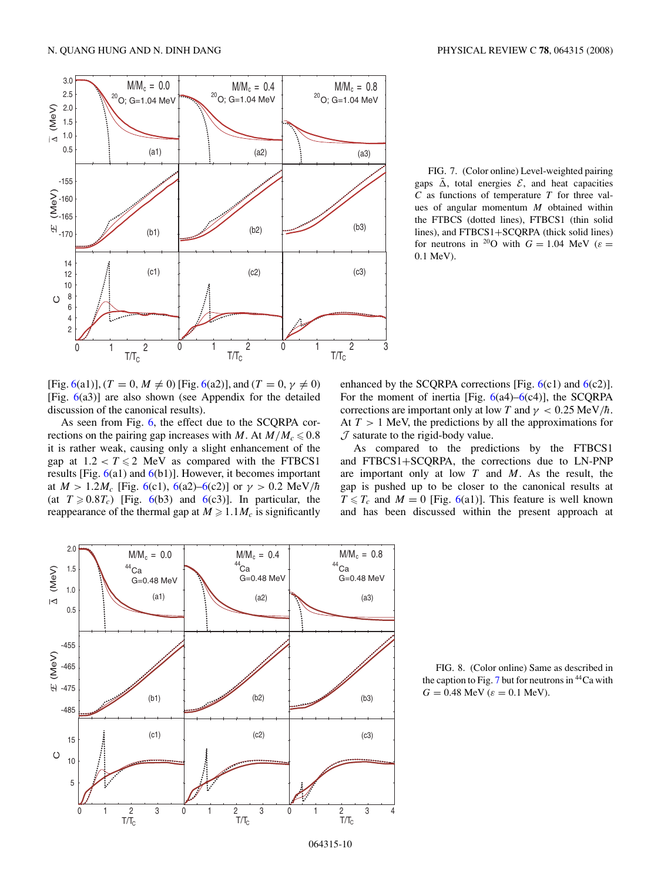<span id="page-9-0"></span>

FIG. 7. (Color online) Level-weighted pairing gaps  $\bar{\Delta}$ , total energies  $\mathcal{E}$ , and heat capacities *C* as functions of temperature *T* for three values of angular momentum *M* obtained within the FTBCS (dotted lines), FTBCS1 (thin solid lines), and FTBCS1+SCQRPA (thick solid lines) for neutrons in <sup>20</sup>O with  $G = 1.04$  MeV ( $\varepsilon =$ 0*.*1 MeV).

 $[Fig. 6(a1)], (T = 0, M \neq 0)$  $[Fig. 6(a1)], (T = 0, M \neq 0)$  $[Fig. 6(a1)], (T = 0, M \neq 0)$  [Fig. 6(a2)], and  $(T = 0, \gamma \neq 0)$ [Fig. [6\(](#page-8-0)a3)] are also shown (see Appendix for the detailed discussion of the canonical results).

As seen from Fig. [6,](#page-8-0) the effect due to the SCQRPA corrections on the pairing gap increases with *M*. At  $M/M_c \le 0.8$ it is rather weak, causing only a slight enhancement of the gap at  $1.2 < T \le 2$  MeV as compared with the FTBCS1 results [Fig.  $6(a1)$  $6(a1)$  and  $6(b1)$ ]. However, it becomes important at  $M > 1.2 M_c$  [Fig. [6\(](#page-8-0)c1), 6(a2)[–6\(](#page-8-0)c2)] or  $\gamma > 0.2 \text{ MeV}/h$ (at  $T \ge 0.8T_c$ ) [Fig. [6\(](#page-8-0)b3) and 6(c3)]. In particular, the reappearance of the thermal gap at  $M \ge 1.1 M_c$  is significantly

enhanced by the SCQRPA corrections [Fig.  $6(c1)$  $6(c1)$  and  $6(c2)$ ]. For the moment of inertia [Fig.  $6(a4)$  $6(a4)$ – $6(c4)$ ], the SCQRPA corrections are important only at low *T* and  $\gamma$  < 0.25 MeV/h. At *T >* 1 MeV, the predictions by all the approximations for  $J$  saturate to the rigid-body value.

As compared to the predictions by the FTBCS1 and FTBCS1+SCQRPA, the corrections due to LN-PNP are important only at low *T* and *M*. As the result, the gap is pushed up to be closer to the canonical results at  $T \leq T_c$  and  $M = 0$  [Fig. [6\(](#page-8-0)a1)]. This feature is well known and has been discussed within the present approach at





064315-10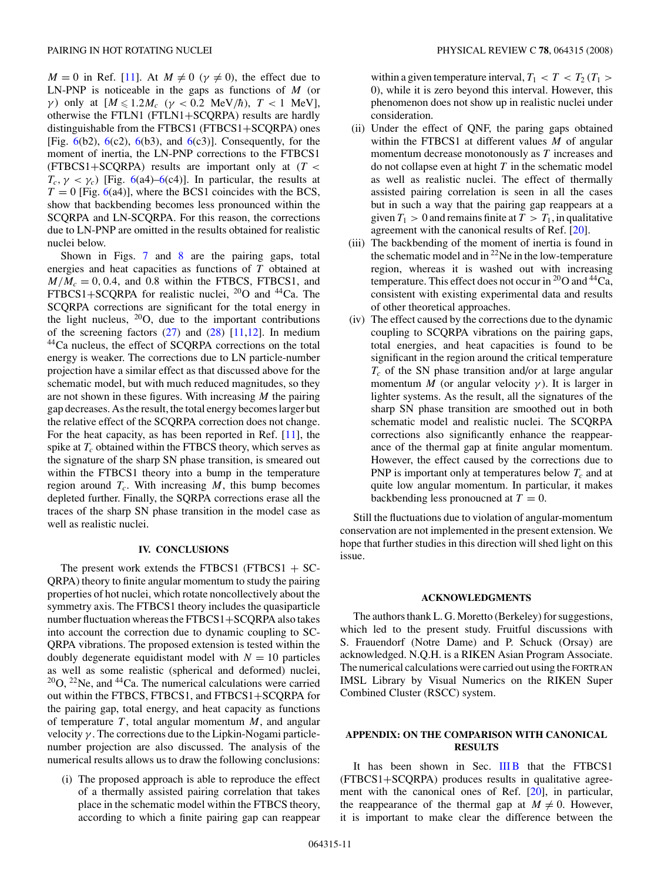*M* = 0 in Ref. [\[11\]](#page-12-0). At *M*  $\neq$  0 ( $\gamma \neq$  0), the effect due to LN-PNP is noticeable in the gaps as functions of *M* (or *γ*) only at  $[M \le 1.2M_c \ (\gamma < 0.2 \ \text{MeV}/\hbar), T < 1 \ \text{MeV}$ ], otherwise the FTLN1 (FTLN1+SCQRPA) results are hardly distinguishable from the FTBCS1 (FTBCS1+SCQRPA) ones [Fig.  $6(b2)$  $6(b2)$ ,  $6(c2)$ ,  $6(b3)$ , and  $6(c3)$ ]. Consequently, for the moment of inertia, the LN-PNP corrections to the FTBCS1 (FTBCS1+SCQRPA) results are important only at (*T <*  $T_c$ ,  $\gamma < \gamma_c$ ) [Fig. [6\(](#page-8-0)a4)[–6\(](#page-8-0)c4)]. In particular, the results at  $T = 0$  [Fig. [6\(](#page-8-0)a4)], where the BCS1 coincides with the BCS, show that backbending becomes less pronounced within the SCQRPA and LN-SCQRPA. For this reason, the corrections due to LN-PNP are omitted in the results obtained for realistic nuclei below.

Shown in Figs. [7](#page-9-0) and [8](#page-9-0) are the pairing gaps, total energies and heat capacities as functions of *T* obtained at  $M/M_c = 0, 0.4$ , and 0.8 within the FTBCS, FTBCS1, and FTBCS1+SCQRPA for realistic nuclei,  $^{20}O$  and  $^{44}Ca$ . The SCQRPA corrections are significant for the total energy in the light nucleus,  $20$ O, due to the important contributions of the screening factors  $(27)$  and  $(28)$  [\[11,12\]](#page-12-0). In medium 44Ca nucleus, the effect of SCQRPA corrections on the total energy is weaker. The corrections due to LN particle-number projection have a similar effect as that discussed above for the schematic model, but with much reduced magnitudes, so they are not shown in these figures. With increasing *M* the pairing gap decreases. As the result, the total energy becomes larger but the relative effect of the SCQRPA correction does not change. For the heat capacity, as has been reported in Ref. [\[11\]](#page-12-0), the spike at  $T_c$  obtained within the FTBCS theory, which serves as the signature of the sharp SN phase transition, is smeared out within the FTBCS1 theory into a bump in the temperature region around  $T_c$ . With increasing  $M$ , this bump becomes depleted further. Finally, the SQRPA corrections erase all the traces of the sharp SN phase transition in the model case as well as realistic nuclei.

## **IV. CONCLUSIONS**

The present work extends the FTBCS1 (FTBCS1 + SC-QRPA) theory to finite angular momentum to study the pairing properties of hot nuclei, which rotate noncollectively about the symmetry axis. The FTBCS1 theory includes the quasiparticle number fluctuation whereas the FTBCS1+SCQRPA also takes into account the correction due to dynamic coupling to SC-QRPA vibrations. The proposed extension is tested within the doubly degenerate equidistant model with  $N = 10$  particles as well as some realistic (spherical and deformed) nuclei,  $20$ O,  $22$ Ne, and  $44$ Ca. The numerical calculations were carried out within the FTBCS, FTBCS1, and FTBCS1+SCQRPA for the pairing gap, total energy, and heat capacity as functions of temperature  $T$ , total angular momentum  $M$ , and angular velocity *γ* . The corrections due to the Lipkin-Nogami particlenumber projection are also discussed. The analysis of the numerical results allows us to draw the following conclusions:

(i) The proposed approach is able to reproduce the effect of a thermally assisted pairing correlation that takes place in the schematic model within the FTBCS theory, according to which a finite pairing gap can reappear

within a given temperature interval,  $T_1 < T < T_2$  ( $T_1 >$ 0), while it is zero beyond this interval. However, this phenomenon does not show up in realistic nuclei under consideration.

- (ii) Under the effect of QNF, the paring gaps obtained within the FTBCS1 at different values *M* of angular momentum decrease monotonously as *T* increases and do not collapse even at hight *T* in the schematic model as well as realistic nuclei. The effect of thermally assisted pairing correlation is seen in all the cases but in such a way that the pairing gap reappears at a given  $T_1 > 0$  and remains finite at  $T > T_1$ , in qualitative agreement with the canonical results of Ref. [\[20\]](#page-12-0).
- (iii) The backbending of the moment of inertia is found in the schematic model and in  $^{22}$ Ne in the low-temperature region, whereas it is washed out with increasing temperature. This effect does not occur in  $^{20}O$  and  $^{44}Ca$ , consistent with existing experimental data and results of other theoretical approaches.
- (iv) The effect caused by the corrections due to the dynamic coupling to SCQRPA vibrations on the pairing gaps, total energies, and heat capacities is found to be significant in the region around the critical temperature  $T_c$  of the SN phase transition and/or at large angular momentum *M* (or angular velocity  $\gamma$ ). It is larger in lighter systems. As the result, all the signatures of the sharp SN phase transition are smoothed out in both schematic model and realistic nuclei. The SCQRPA corrections also significantly enhance the reappearance of the thermal gap at finite angular momentum. However, the effect caused by the corrections due to PNP is important only at temperatures below  $T_c$  and at quite low angular momentum. In particular, it makes backbending less pronoucned at  $T = 0$ .

Still the fluctuations due to violation of angular-momentum conservation are not implemented in the present extension. We hope that further studies in this direction will shed light on this issue.

#### **ACKNOWLEDGMENTS**

The authors thank L. G. Moretto (Berkeley) for suggestions, which led to the present study. Fruitful discussions with S. Frauendorf (Notre Dame) and P. Schuck (Orsay) are acknowledged. N.Q.H. is a RIKEN Asian Program Associate. The numerical calculations were carried out using the FORTRAN IMSL Library by Visual Numerics on the RIKEN Super Combined Cluster (RSCC) system.

## **APPENDIX: ON THE COMPARISON WITH CANONICAL RESULTS**

It has been shown in Sec. [III B](#page-5-0) that the FTBCS1 (FTBCS1+SCQRPA) produces results in qualitative agreement with the canonical ones of Ref. [\[20\]](#page-12-0), in particular, the reappearance of the thermal gap at  $M \neq 0$ . However, it is important to make clear the difference between the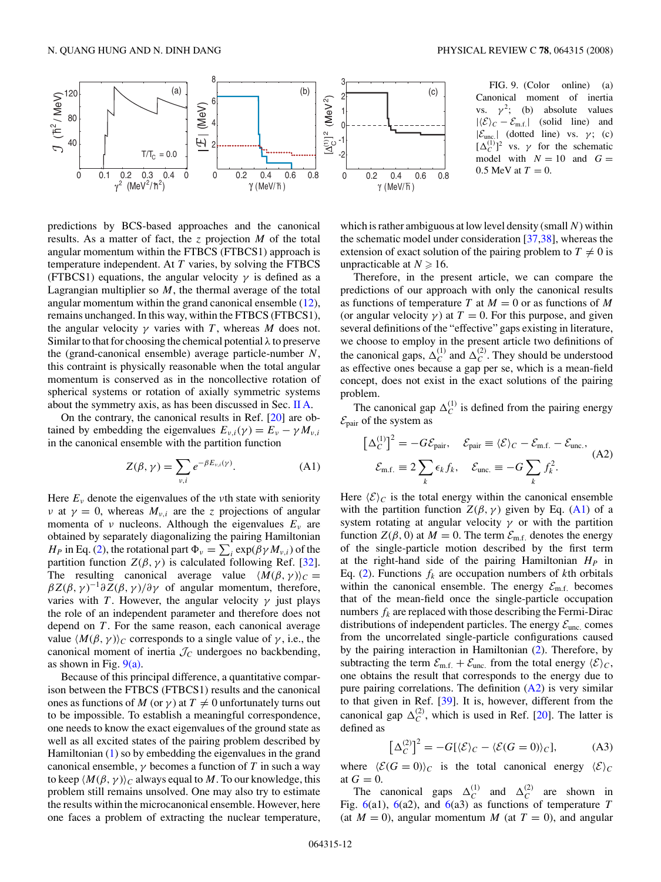<span id="page-11-0"></span>

predictions by BCS-based approaches and the canonical results. As a matter of fact, the *z* projection *M* of the total angular momentum within the FTBCS (FTBCS1) approach is temperature independent. At *T* varies, by solving the FTBCS (FTBCS1) equations, the angular velocity  $\gamma$  is defined as a Lagrangian multiplier so *M*, the thermal average of the total angular momentum within the grand canonical ensemble [\(12\)](#page-2-0), remains unchanged. In this way, within the FTBCS (FTBCS1), the angular velocity  $\gamma$  varies with *T*, whereas *M* does not. Similar to that for choosing the chemical potential *λ* to preserve the (grand-canonical ensemble) average particle-number *N*, this contraint is physically reasonable when the total angular momentum is conserved as in the noncollective rotation of spherical systems or rotation of axially symmetric systems about the symmetry axis, as has been discussed in Sec. [II A.](#page-1-0)

On the contrary, the canonical results in Ref. [\[20\]](#page-12-0) are obtained by embedding the eigenvalues  $E_{\nu,i}(\gamma) = E_{\nu} - \gamma M_{\nu,i}$ in the canonical ensemble with the partition function

$$
Z(\beta, \gamma) = \sum_{\nu, i} e^{-\beta E_{\nu, i}(\gamma)}.
$$
 (A1)

Here  $E<sub>v</sub>$  denote the eigenvalues of the *ν*th state with seniority *ν* at  $\gamma = 0$ , whereas  $M_{\nu,i}$  are the *z* projections of angular momenta of *ν* nucleons. Although the eigenvalues *Eν* are obtained by separately diagonalizing the pairing Hamiltonian *H<sub>P</sub>* in Eq. [\(2\)](#page-1-0), the rotational part  $\Phi_v = \sum_i \exp(\beta \gamma M_{v,i})$  of the partition function  $Z(\beta, \gamma)$  is calculated following Ref. [\[32\]](#page-12-0). The resulting canonical average value  $\langle M(\beta, \gamma) \rangle_C =$  $\beta Z(\beta, \gamma)^{-1} \partial Z(\beta, \gamma) / \partial \gamma$  of angular momentum, therefore, varies with *T*. However, the angular velocity  $\gamma$  just plays the role of an independent parameter and therefore does not depend on *T* . For the same reason, each canonical average value  $\langle M(\beta, \gamma) \rangle_C$  corresponds to a single value of  $\gamma$ , i.e., the canonical moment of inertia  $\mathcal{J}_C$  undergoes no backbending, as shown in Fig.  $9(a)$ .

Because of this principal difference, a quantitative comparison between the FTBCS (FTBCS1) results and the canonical ones as functions of *M* (or  $\gamma$ ) at  $T \neq 0$  unfortunately turns out to be impossible. To establish a meaningful correspondence, one needs to know the exact eigenvalues of the ground state as well as all excited states of the pairing problem described by Hamiltonian [\(1\)](#page-1-0) so by embedding the eigenvalues in the grand canonical ensemble,  $\gamma$  becomes a function of *T* in such a way to keep  $\langle M(\beta, \gamma) \rangle_C$  always equal to M. To our knowledge, this problem still remains unsolved. One may also try to estimate the results within the microcanonical ensemble. However, here one faces a problem of extracting the nuclear temperature,



which is rather ambiguous at low level density (small *N*) within the schematic model under consideration [\[37,38\]](#page-12-0), whereas the extension of exact solution of the pairing problem to  $T \neq 0$  is unpracticable at  $N \geq 16$ .

Therefore, in the present article, we can compare the predictions of our approach with only the canonical results as functions of temperature *T* at  $M = 0$  or as functions of *M* (or angular velocity  $\gamma$ ) at  $T = 0$ . For this purpose, and given several definitions of the "effective" gaps existing in literature, we choose to employ in the present article two definitions of the canonical gaps,  $\Delta_C^{(1)}$  and  $\Delta_C^{(2)}$ . They should be understood as effective ones because a gap per se, which is a mean-field concept, does not exist in the exact solutions of the pairing problem.

The canonical gap  $\Delta_C^{(1)}$  is defined from the pairing energy  $\mathcal{E}_{\text{pair}}$  of the system as

$$
\left[\Delta_C^{(1)}\right]^2 = -G\mathcal{E}_{\text{pair}}, \quad \mathcal{E}_{\text{pair}} \equiv \langle \mathcal{E} \rangle_C - \mathcal{E}_{\text{m.f.}} - \mathcal{E}_{\text{unc.}},
$$

$$
\mathcal{E}_{\text{m.f.}} \equiv 2\sum_k \epsilon_k f_k, \quad \mathcal{E}_{\text{unc.}} \equiv -G\sum_k f_k^2.
$$
(A2)

Here  $\langle \mathcal{E} \rangle_C$  is the total energy within the canonical ensemble with the partition function  $Z(\beta, \gamma)$  given by Eq. (A1) of a system rotating at angular velocity *γ* or with the partition function  $Z(\beta, 0)$  at  $M = 0$ . The term  $\mathcal{E}_{m.f.}$  denotes the energy of the single-particle motion described by the first term at the right-hand side of the pairing Hamiltonian  $H_P$  in Eq. [\(2\)](#page-1-0). Functions  $f_k$  are occupation numbers of *k*th orbitals within the canonical ensemble. The energy  $\mathcal{E}_{m.f.}$  becomes that of the mean-field once the single-particle occupation numbers  $f_k$  are replaced with those describing the Fermi-Dirac distributions of independent particles. The energy  $\mathcal{E}_{\text{unc.}}$  comes from the uncorrelated single-particle configurations caused by the pairing interaction in Hamiltonian [\(2\)](#page-1-0). Therefore, by subtracting the term  $\mathcal{E}_{m.f.} + \mathcal{E}_{unc.}$  from the total energy  $\langle \mathcal{E} \rangle_C$ , one obtains the result that corresponds to the energy due to pure pairing correlations. The definition  $(A2)$  is very similar to that given in Ref. [\[39\]](#page-12-0). It is, however, different from the canonical gap  $\Delta_C^{(2)}$ , which is used in Ref. [\[20\]](#page-12-0). The latter is defined as

$$
\left[\Delta_C^{(2)}\right]^2 = -G[\langle \mathcal{E} \rangle_C - \langle \mathcal{E}(G=0) \rangle_C],\tag{A3}
$$

where  $\langle \mathcal{E}(G = 0) \rangle_C$  is the total canonical energy  $\langle \mathcal{E} \rangle_C$ at  $G = 0$ .

The canonical gaps  $\Delta_C^{(1)}$  and  $\Delta_C^{(2)}$  are shown in Fig. [6\(](#page-8-0)a1), [6\(](#page-8-0)a2), and [6\(](#page-8-0)a3) as functions of temperature *T* (at  $M = 0$ ), angular momentum *M* (at  $T = 0$ ), and angular